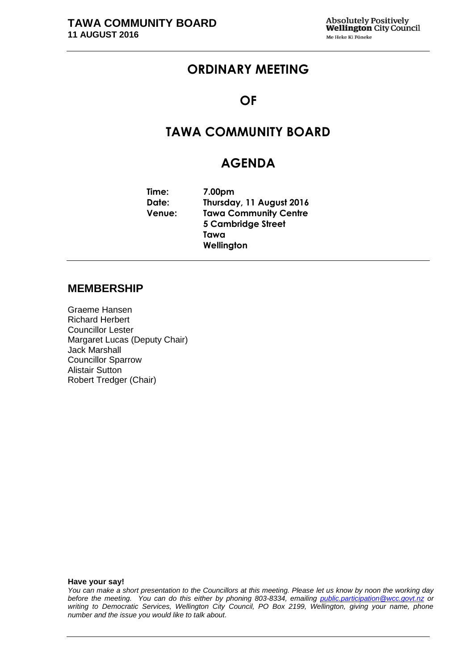## **ORDINARY MEETING**

## **OF**

# **TAWA COMMUNITY BOARD**

## **AGENDA**

| Time:         | 7.00pm                       |
|---------------|------------------------------|
| Date:         | Thursday, 11 August 2016     |
| <b>Venue:</b> | <b>Tawa Community Centre</b> |
|               | <b>5 Cambridge Street</b>    |
|               | Tawa                         |
|               | Wellington                   |

### **MEMBERSHIP**

Graeme Hansen Richard Herbert Councillor Lester Margaret Lucas (Deputy Chair) Jack Marshall Councillor Sparrow Alistair Sutton Robert Tredger (Chair)

**Have your say!**

*You can make a short presentation to the Councillors at this meeting. Please let us know by noon the working day before the meeting. You can do this either by phoning 803-8334, emailing public.participation@wcc.govt.nz or writing to Democratic Services, Wellington City Council, PO Box 2199, Wellington, giving your name, phone number and the issue you would like to talk about.*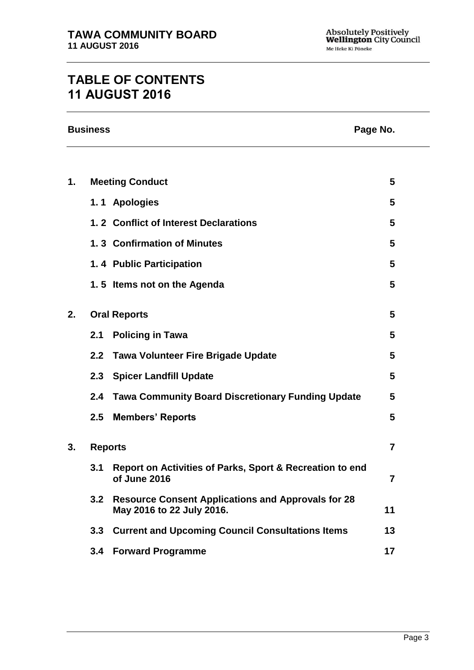# **TABLE OF CONTENTS 11 AUGUST 2016**

|    | <b>Business</b> |                                                                                        | Page No.       |
|----|-----------------|----------------------------------------------------------------------------------------|----------------|
|    |                 |                                                                                        |                |
| 1. |                 | <b>Meeting Conduct</b>                                                                 | 5              |
|    |                 | 1.1 Apologies                                                                          | 5              |
|    |                 | 1.2 Conflict of Interest Declarations                                                  | 5              |
|    |                 | 1.3 Confirmation of Minutes                                                            | 5              |
|    |                 | 1.4 Public Participation                                                               | 5              |
|    |                 | 1.5 Items not on the Agenda                                                            | 5              |
| 2. |                 | <b>Oral Reports</b>                                                                    | 5              |
|    | 2.1             | <b>Policing in Tawa</b>                                                                | 5              |
|    | 2.2             | <b>Tawa Volunteer Fire Brigade Update</b>                                              | 5              |
|    |                 | 2.3 Spicer Landfill Update                                                             | 5              |
|    | 2.4             | <b>Tawa Community Board Discretionary Funding Update</b>                               | 5              |
|    | $2.5\,$         | <b>Members' Reports</b>                                                                | 5              |
| 3. | <b>Reports</b>  |                                                                                        | $\overline{7}$ |
|    | 3.1             | Report on Activities of Parks, Sport & Recreation to end<br>of June 2016               | 7              |
|    | 3.2             | <b>Resource Consent Applications and Approvals for 28</b><br>May 2016 to 22 July 2016. | 11             |
|    | 3.3             | <b>Current and Upcoming Council Consultations Items</b>                                | 13             |
|    | 3.4             | <b>Forward Programme</b>                                                               | 17             |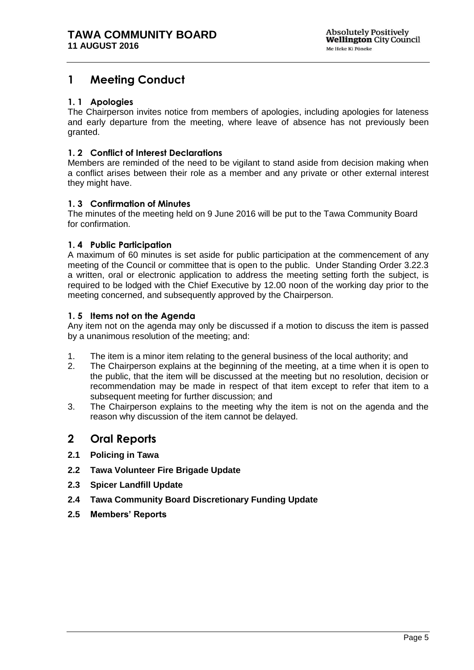## <span id="page-4-0"></span>**1 Meeting Conduct**

### <span id="page-4-1"></span>**1. 1 Apologies**

The Chairperson invites notice from members of apologies, including apologies for lateness and early departure from the meeting, where leave of absence has not previously been granted.

### <span id="page-4-2"></span>**1. 2 Conflict of Interest Declarations**

Members are reminded of the need to be vigilant to stand aside from decision making when a conflict arises between their role as a member and any private or other external interest they might have.

### <span id="page-4-3"></span>**1. 3 Confirmation of Minutes**

The minutes of the meeting held on 9 June 2016 will be put to the Tawa Community Board for confirmation.

### <span id="page-4-4"></span>**1. 4 Public Participation**

A maximum of 60 minutes is set aside for public participation at the commencement of any meeting of the Council or committee that is open to the public. Under Standing Order 3.22.3 a written, oral or electronic application to address the meeting setting forth the subject, is required to be lodged with the Chief Executive by 12.00 noon of the working day prior to the meeting concerned, and subsequently approved by the Chairperson.

### <span id="page-4-5"></span>**1. 5 Items not on the Agenda**

Any item not on the agenda may only be discussed if a motion to discuss the item is passed by a unanimous resolution of the meeting; and:

- 1. The item is a minor item relating to the general business of the local authority; and
- 2. The Chairperson explains at the beginning of the meeting, at a time when it is open to the public, that the item will be discussed at the meeting but no resolution, decision or recommendation may be made in respect of that item except to refer that item to a subsequent meeting for further discussion; and
- 3. The Chairperson explains to the meeting why the item is not on the agenda and the reason why discussion of the item cannot be delayed.

## <span id="page-4-6"></span>**2 Oral Reports**

- **2.1 Policing in Tawa**
- **2.2 Tawa Volunteer Fire Brigade Update**
- **2.3 Spicer Landfill Update**
- **2.4 Tawa Community Board Discretionary Funding Update**
- **2.5 Members' Reports**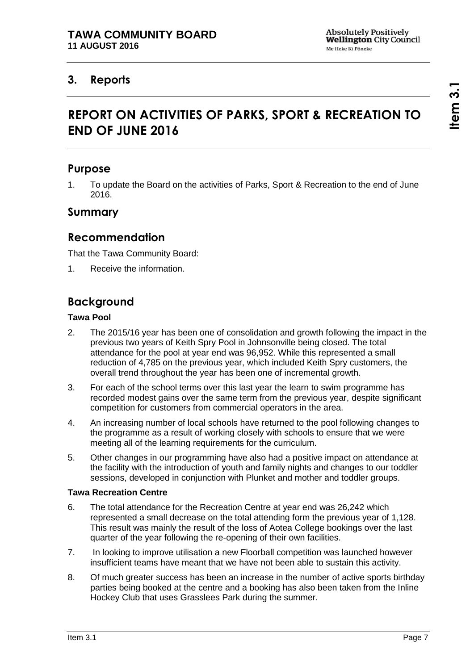## <span id="page-6-1"></span><span id="page-6-0"></span>**3. Reports**

# **REPORT ON ACTIVITIES OF PARKS, SPORT & RECREATION TO END OF JUNE 2016**

## **Purpose**

1. To update the Board on the activities of Parks, Sport & Recreation to the end of June 2016.

### **Summary**

## **Recommendation**

That the Tawa Community Board:

1. Receive the information.

## **Background**

### **Tawa Pool**

- 2. The 2015/16 year has been one of consolidation and growth following the impact in the previous two years of Keith Spry Pool in Johnsonville being closed. The total attendance for the pool at year end was 96,952. While this represented a small reduction of 4,785 on the previous year, which included Keith Spry customers, the overall trend throughout the year has been one of incremental growth.
- 3. For each of the school terms over this last year the learn to swim programme has recorded modest gains over the same term from the previous year, despite significant competition for customers from commercial operators in the area.
- 4. An increasing number of local schools have returned to the pool following changes to the programme as a result of working closely with schools to ensure that we were meeting all of the learning requirements for the curriculum.
- 5. Other changes in our programming have also had a positive impact on attendance at the facility with the introduction of youth and family nights and changes to our toddler sessions, developed in conjunction with Plunket and mother and toddler groups.

### **Tawa Recreation Centre**

- 6. The total attendance for the Recreation Centre at year end was 26,242 which represented a small decrease on the total attending form the previous year of 1,128. This result was mainly the result of the loss of Aotea College bookings over the last quarter of the year following the re-opening of their own facilities.
- 7. In looking to improve utilisation a new Floorball competition was launched however insufficient teams have meant that we have not been able to sustain this activity.
- 8. Of much greater success has been an increase in the number of active sports birthday parties being booked at the centre and a booking has also been taken from the Inline Hockey Club that uses Grasslees Park during the summer.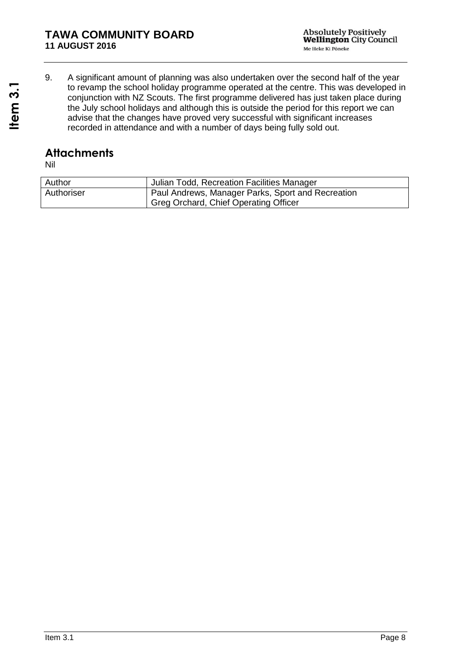9. A significant amount of planning was also undertaken over the second half of the year to revamp the school holiday programme operated at the centre. This was developed in conjunction with NZ Scouts. The first programme delivered has just taken place during the July school holidays and although this is outside the period for this report we can advise that the changes have proved very successful with significant increases recorded in attendance and with a number of days being fully sold out.

## **Attachments**

| Author     | Julian Todd, Recreation Facilities Manager        |
|------------|---------------------------------------------------|
| Authoriser | Paul Andrews, Manager Parks, Sport and Recreation |
|            | Greg Orchard, Chief Operating Officer             |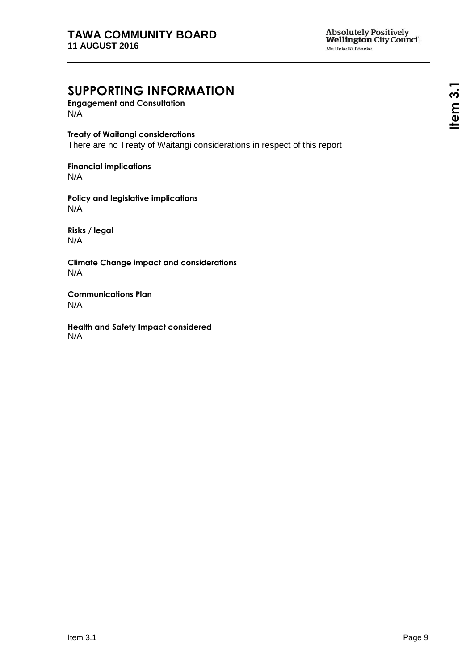# **SUPPORTING INFORMATION**

**Engagement and Consultation** N/A

**Treaty of Waitangi considerations** There are no Treaty of Waitangi considerations in respect of this report

**Financial implications** N/A

**Policy and legislative implications** N/A

**Risks / legal**  N/A

**Climate Change impact and considerations** N/A

**Communications Plan** N/A

**Health and Safety Impact considered** N/A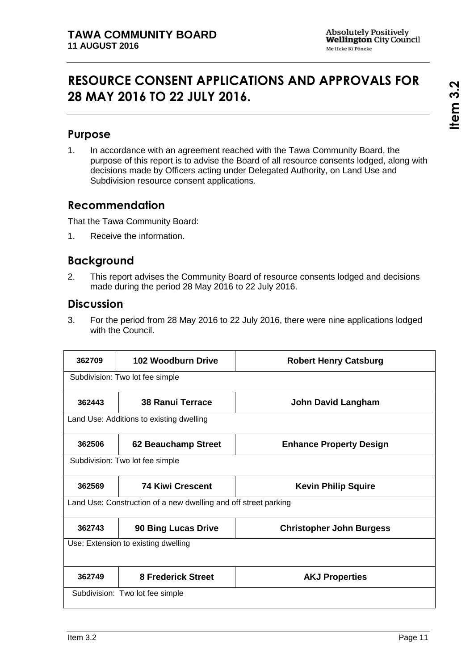# <span id="page-10-0"></span>**RESOURCE CONSENT APPLICATIONS AND APPROVALS FOR 28 MAY 2016 TO 22 JULY 2016.**

## **Purpose**

1. In accordance with an agreement reached with the Tawa Community Board, the purpose of this report is to advise the Board of all resource consents lodged, along with decisions made by Officers acting under Delegated Authority, on Land Use and Subdivision resource consent applications.

## **Recommendation**

That the Tawa Community Board:

1. Receive the information.

## **Background**

2. This report advises the Community Board of resource consents lodged and decisions made during the period 28 May 2016 to 22 July 2016.

### **Discussion**

3. For the period from 28 May 2016 to 22 July 2016, there were nine applications lodged with the Council.

| 362709 | <b>102 Woodburn Drive</b>                                       | <b>Robert Henry Catsburg</b>    |
|--------|-----------------------------------------------------------------|---------------------------------|
|        | Subdivision: Two lot fee simple                                 |                                 |
| 362443 | <b>38 Ranui Terrace</b>                                         | <b>John David Langham</b>       |
|        | Land Use: Additions to existing dwelling                        |                                 |
| 362506 | 62 Beauchamp Street                                             | <b>Enhance Property Design</b>  |
|        | Subdivision: Two lot fee simple                                 |                                 |
| 362569 | <b>74 Kiwi Crescent</b>                                         | <b>Kevin Philip Squire</b>      |
|        | Land Use: Construction of a new dwelling and off street parking |                                 |
| 362743 | <b>90 Bing Lucas Drive</b>                                      | <b>Christopher John Burgess</b> |
|        | Use: Extension to existing dwelling                             |                                 |
| 362749 | <b>8 Frederick Street</b>                                       | <b>AKJ Properties</b>           |
|        | Subdivision: Two lot fee simple                                 |                                 |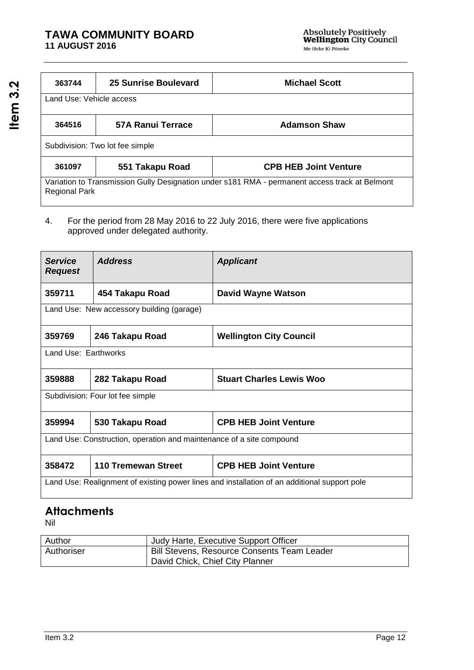### **TAWA COMMUNITY BOARD 11 AUGUST 2016**

| 363744                   | 25 Sunrise Boulevard            | <b>Michael Scott</b>                                                                           |
|--------------------------|---------------------------------|------------------------------------------------------------------------------------------------|
| Land Use: Vehicle access |                                 |                                                                                                |
| 364516                   | 57A Ranui Terrace               | <b>Adamson Shaw</b>                                                                            |
|                          |                                 |                                                                                                |
|                          | Subdivision: Two lot fee simple |                                                                                                |
| 361097                   | 551 Takapu Road                 | <b>CPB HEB Joint Venture</b>                                                                   |
| <b>Regional Park</b>     |                                 | Variation to Transmission Gully Designation under s181 RMA - permanent access track at Belmont |

4. For the period from 28 May 2016 to 22 July 2016, there were five applications approved under delegated authority.

| <b>Service</b><br><b>Request</b> | <b>Address</b>                                                       | <b>Applicant</b>                                                                             |
|----------------------------------|----------------------------------------------------------------------|----------------------------------------------------------------------------------------------|
| 359711                           | 454 Takapu Road                                                      | David Wayne Watson                                                                           |
|                                  | Land Use: New accessory building (garage)                            |                                                                                              |
| 359769                           | 246 Takapu Road                                                      | <b>Wellington City Council</b>                                                               |
| Land Use: Earthworks             |                                                                      |                                                                                              |
| 359888                           | 282 Takapu Road                                                      | <b>Stuart Charles Lewis Woo</b>                                                              |
|                                  | Subdivision: Four lot fee simple                                     |                                                                                              |
| 359994                           | 530 Takapu Road                                                      | <b>CPB HEB Joint Venture</b>                                                                 |
|                                  | Land Use: Construction, operation and maintenance of a site compound |                                                                                              |
| 358472                           | <b>110 Tremewan Street</b>                                           | <b>CPB HEB Joint Venture</b>                                                                 |
|                                  |                                                                      | Land Use: Realignment of existing power lines and installation of an additional support pole |

# **Attachments**

| Author     | Judy Harte, Executive Support Officer                                                 |
|------------|---------------------------------------------------------------------------------------|
| Authoriser | <b>Bill Stevens, Resource Consents Team Leader</b><br>David Chick, Chief City Planner |
|            |                                                                                       |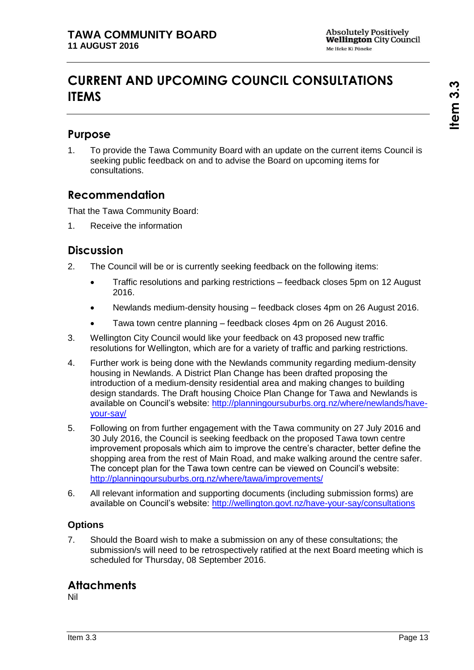# <span id="page-12-0"></span>**CURRENT AND UPCOMING COUNCIL CONSULTATIONS ITEMS**

## **Purpose**

1. To provide the Tawa Community Board with an update on the current items Council is seeking public feedback on and to advise the Board on upcoming items for consultations.

## **Recommendation**

That the Tawa Community Board:

1. Receive the information

## **Discussion**

- 2. The Council will be or is currently seeking feedback on the following items:
	- Traffic resolutions and parking restrictions feedback closes 5pm on 12 August 2016.
	- Newlands medium-density housing feedback closes 4pm on 26 August 2016.
	- Tawa town centre planning feedback closes 4pm on 26 August 2016.
- 3. Wellington City Council would like your feedback on 43 proposed new traffic resolutions for Wellington, which are for a variety of traffic and parking restrictions.
- 4. Further work is being done with the Newlands community regarding medium-density housing in Newlands. A District Plan Change has been drafted proposing the introduction of a medium-density residential area and making changes to building design standards. The Draft housing Choice Plan Change for Tawa and Newlands is available on Council's website: [http://planningoursuburbs.org.nz/where/newlands/have](http://planningoursuburbs.org.nz/where/newlands/have-your-say/)[your-say/](http://planningoursuburbs.org.nz/where/newlands/have-your-say/)
- 5. Following on from further engagement with the Tawa community on 27 July 2016 and 30 July 2016, the Council is seeking feedback on the proposed Tawa town centre improvement proposals which aim to improve the centre's character, better define the shopping area from the rest of Main Road, and make walking around the centre safer. The concept plan for the Tawa town centre can be viewed on Council's website: <http://planningoursuburbs.org.nz/where/tawa/improvements/>
- 6. All relevant information and supporting documents (including submission forms) are available on Council's website:<http://wellington.govt.nz/have-your-say/consultations>

### **Options**

7. Should the Board wish to make a submission on any of these consultations; the submission/s will need to be retrospectively ratified at the next Board meeting which is scheduled for Thursday, 08 September 2016.

## **Attachments**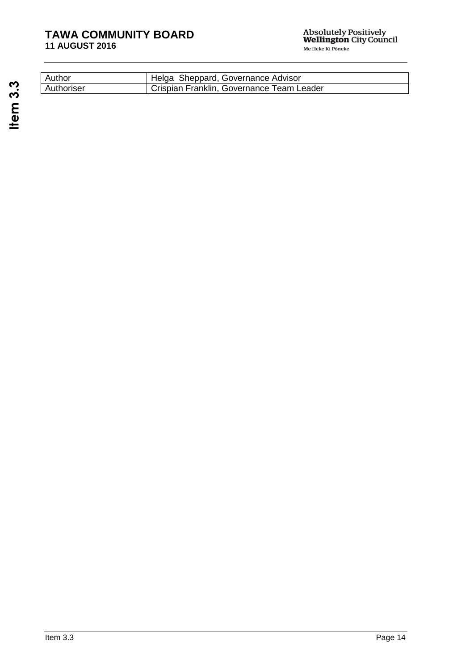### **TAWA COMMUNITY BOARD 11 AUGUST 2016**

| Author     | Helga Sheppard, Governance Advisor        |
|------------|-------------------------------------------|
| Authoriser | Crispian Franklin, Governance Team Leader |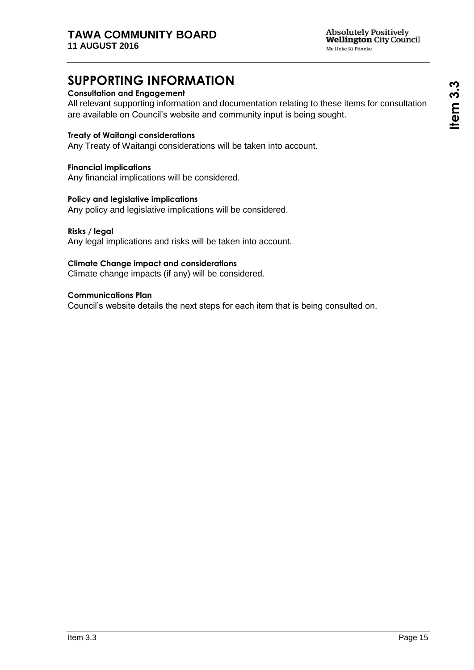# **SUPPORTING INFORMATION**

### **Consultation and Engagement**

All relevant supporting information and documentation relating to these items for consultation are available on Council's website and community input is being sought.

### **Treaty of Waitangi considerations**

Any Treaty of Waitangi considerations will be taken into account.

#### **Financial implications**

Any financial implications will be considered.

#### **Policy and legislative implications**

Any policy and legislative implications will be considered.

#### **Risks / legal**

Any legal implications and risks will be taken into account.

#### **Climate Change impact and considerations**

Climate change impacts (if any) will be considered.

#### **Communications Plan**

Council's website details the next steps for each item that is being consulted on.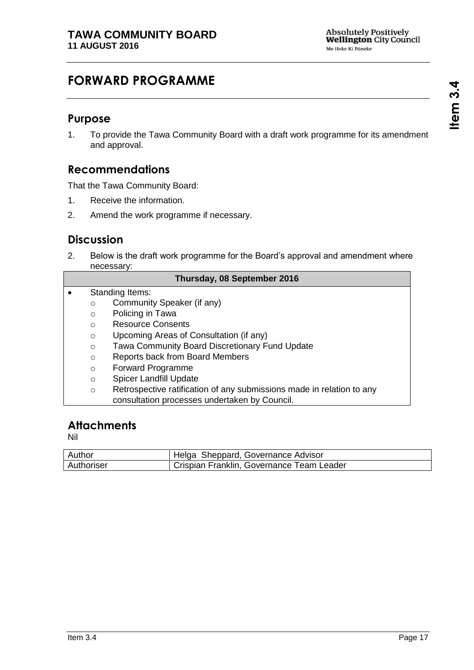# <span id="page-16-0"></span>**FORWARD PROGRAMME**

### **Purpose**

1. To provide the Tawa Community Board with a draft work programme for its amendment and approval.

## **Recommendations**

That the Tawa Community Board:

- 1. Receive the information.
- 2. Amend the work programme if necessary.

## **Discussion**

2. Below is the draft work programme for the Board's approval and amendment where necessary:

|  | <b>Thursday, 08 September 2016</b> |  |
|--|------------------------------------|--|
|--|------------------------------------|--|

- Standing Items: o Community Speaker (if any) o Policing in Tawa
	- o Resource Consents
	- o Upcoming Areas of Consultation (if any)
	- o Tawa Community Board Discretionary Fund Update
	- o Reports back from Board Members
	- o Forward Programme
	- o Spicer Landfill Update
	- o Retrospective ratification of any submissions made in relation to any consultation processes undertaken by Council.

## **Attachments**

| Author     | Helga Sheppard, Governance Advisor        |
|------------|-------------------------------------------|
| Authoriser | Crispian Franklin, Governance Team Leader |